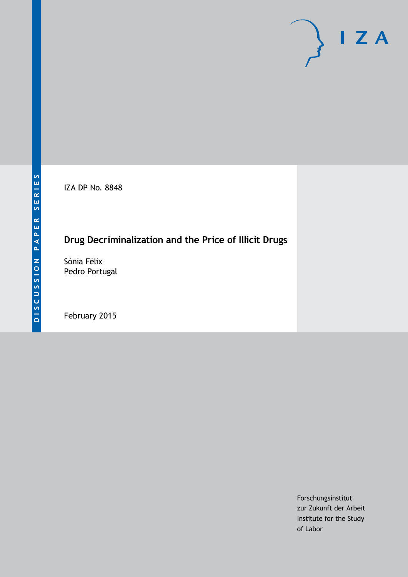IZA DP No. 8848

# **Drug Decriminalization and the Price of Illicit Drugs**

Sónia Félix Pedro Portugal

February 2015

Forschungsinstitut zur Zukunft der Arbeit Institute for the Study of Labor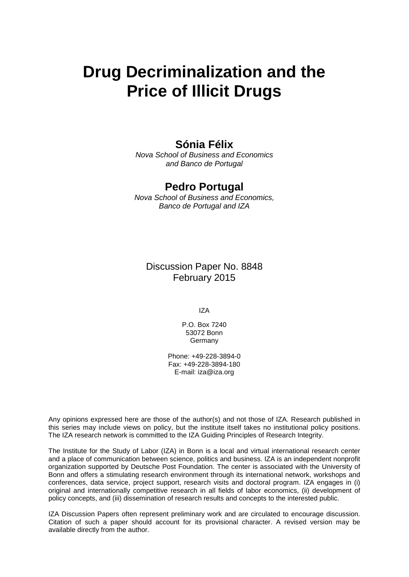# **Drug Decriminalization and the Price of Illicit Drugs**

### **Sónia Félix**

*Nova School of Business and Economics and Banco de Portugal*

### **Pedro Portugal**

*Nova School of Business and Economics, Banco de Portugal and IZA*

Discussion Paper No. 8848 February 2015

IZA

P.O. Box 7240 53072 Bonn **Germany** 

Phone: +49-228-3894-0 Fax: +49-228-3894-180 E-mail: [iza@iza.org](mailto:iza@iza.org)

Any opinions expressed here are those of the author(s) and not those of IZA. Research published in this series may include views on policy, but the institute itself takes no institutional policy positions. The IZA research network is committed to the IZA Guiding Principles of Research Integrity.

The Institute for the Study of Labor (IZA) in Bonn is a local and virtual international research center and a place of communication between science, politics and business. IZA is an independent nonprofit organization supported by Deutsche Post Foundation. The center is associated with the University of Bonn and offers a stimulating research environment through its international network, workshops and conferences, data service, project support, research visits and doctoral program. IZA engages in (i) original and internationally competitive research in all fields of labor economics, (ii) development of policy concepts, and (iii) dissemination of research results and concepts to the interested public.

<span id="page-1-0"></span>IZA Discussion Papers often represent preliminary work and are circulated to encourage discussion. Citation of such a paper should account for its provisional character. A revised version may be available directly from the author.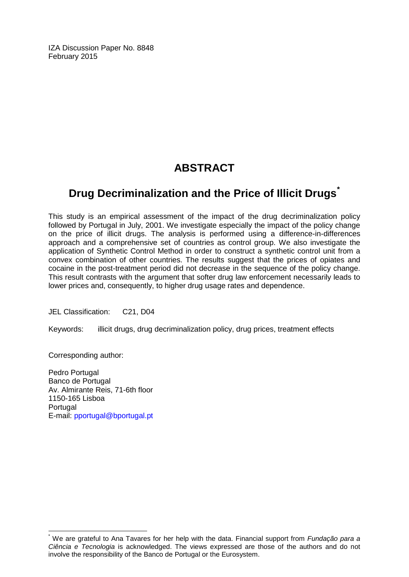IZA Discussion Paper No. 8848 February 2015

# **ABSTRACT**

# **Drug Decriminalization and the Price of Illicit Drugs[\\*](#page-1-0)**

This study is an empirical assessment of the impact of the drug decriminalization policy followed by Portugal in July, 2001. We investigate especially the impact of the policy change on the price of illicit drugs. The analysis is performed using a difference-in-differences approach and a comprehensive set of countries as control group. We also investigate the application of Synthetic Control Method in order to construct a synthetic control unit from a convex combination of other countries. The results suggest that the prices of opiates and cocaine in the post-treatment period did not decrease in the sequence of the policy change. This result contrasts with the argument that softer drug law enforcement necessarily leads to lower prices and, consequently, to higher drug usage rates and dependence.

JEL Classification: C21, D04

Keywords: illicit drugs, drug decriminalization policy, drug prices, treatment effects

Corresponding author:

Pedro Portugal Banco de Portugal Av. Almirante Reis, 71-6th floor 1150-165 Lisboa Portugal E-mail: [pportugal@bportugal.pt](mailto:pportugal@bportugal.pt)

\* We are grateful to Ana Tavares for her help with the data. Financial support from *Fundação para a Ciência e Tecnologia* is acknowledged. The views expressed are those of the authors and do not involve the responsibility of the Banco de Portugal or the Eurosystem.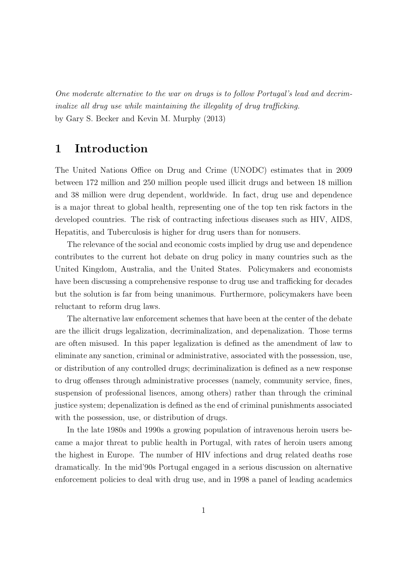One moderate alternative to the war on drugs is to follow Portugal's lead and decriminalize all drug use while maintaining the illegality of drug trafficking. by Gary S. Becker and Kevin M. Murphy (2013)

# 1 Introduction

The United Nations Office on Drug and Crime (UNODC) estimates that in 2009 between 172 million and 250 million people used illicit drugs and between 18 million and 38 million were drug dependent, worldwide. In fact, drug use and dependence is a major threat to global health, representing one of the top ten risk factors in the developed countries. The risk of contracting infectious diseases such as HIV, AIDS, Hepatitis, and Tuberculosis is higher for drug users than for nonusers.

The relevance of the social and economic costs implied by drug use and dependence contributes to the current hot debate on drug policy in many countries such as the United Kingdom, Australia, and the United States. Policymakers and economists have been discussing a comprehensive response to drug use and trafficking for decades but the solution is far from being unanimous. Furthermore, policymakers have been reluctant to reform drug laws.

The alternative law enforcement schemes that have been at the center of the debate are the illicit drugs legalization, decriminalization, and depenalization. Those terms are often misused. In this paper legalization is defined as the amendment of law to eliminate any sanction, criminal or administrative, associated with the possession, use, or distribution of any controlled drugs; decriminalization is defined as a new response to drug offenses through administrative processes (namely, community service, fines, suspension of professional lisences, among others) rather than through the criminal justice system; depenalization is defined as the end of criminal punishments associated with the possession, use, or distribution of drugs.

In the late 1980s and 1990s a growing population of intravenous heroin users became a major threat to public health in Portugal, with rates of heroin users among the highest in Europe. The number of HIV infections and drug related deaths rose dramatically. In the mid'90s Portugal engaged in a serious discussion on alternative enforcement policies to deal with drug use, and in 1998 a panel of leading academics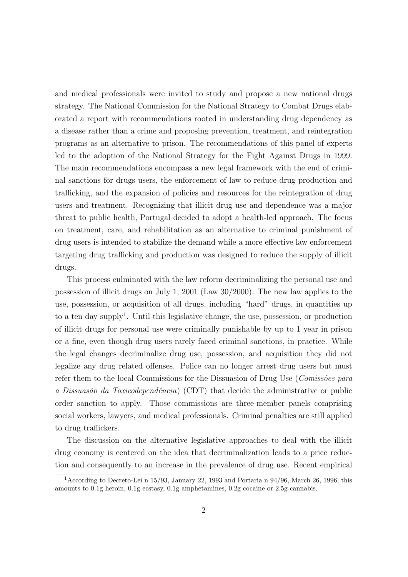and medical professionals were invited to study and propose a new national drugs strategy. The National Commission for the National Strategy to Combat Drugs elaborated a report with recommendations rooted in understanding drug dependency as a disease rather than a crime and proposing prevention, treatment, and reintegration programs as an alternative to prison. The recommendations of this panel of experts led to the adoption of the National Strategy for the Fight Against Drugs in 1999. The main recommendations encompass a new legal framework with the end of criminal sanctions for drugs users, the enforcement of law to reduce drug production and trafficking, and the expansion of policies and resources for the reintegration of drug users and treatment. Recognizing that illicit drug use and dependence was a major threat to public health, Portugal decided to adopt a health-led approach. The focus on treatment, care, and rehabilitation as an alternative to criminal punishment of drug users is intended to stabilize the demand while a more effective law enforcement targeting drug trafficking and production was designed to reduce the supply of illicit drugs.

This process culminated with the law reform decriminalizing the personal use and possession of illicit drugs on July 1, 2001 (Law 30/2000). The new law applies to the use, possession, or acquisition of all drugs, including "hard" drugs, in quantities up to a ten day supply<sup>[1](#page-4-0)</sup>. Until this legislative change, the use, possession, or production of illicit drugs for personal use were criminally punishable by up to 1 year in prison or a fine, even though drug users rarely faced criminal sanctions, in practice. While the legal changes decriminalize drug use, possession, and acquisition they did not legalize any drug related offenses. Police can no longer arrest drug users but must refer them to the local Commissions for the Dissuasion of Drug Use (Comissões para a Dissuasão da Toxicodependência) (CDT) that decide the administrative or public order sanction to apply. Those commissions are three-member panels comprising social workers, lawyers, and medical professionals. Criminal penalties are still applied to drug traffickers.

The discussion on the alternative legislative approaches to deal with the illicit drug economy is centered on the idea that decriminalization leads to a price reduction and consequently to an increase in the prevalence of drug use. Recent empirical

<span id="page-4-0"></span><sup>&</sup>lt;sup>1</sup> According to Decreto-Lei n 15/93, January 22, 1993 and Portaria n 94/96, March 26, 1996, this amounts to 0.1g heroin, 0.1g ecstasy, 0.1g amphetamines, 0.2g cocaine or 2.5g cannabis.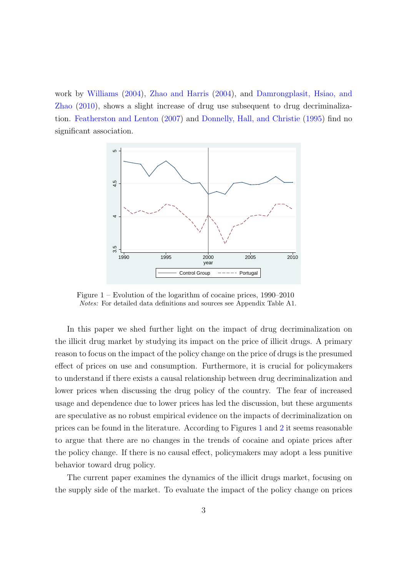work by [Williams](#page-25-0) [\(2004\)](#page-25-0), [Zhao and Harris](#page-25-1) [\(2004\)](#page-25-1), and [Damrongplasit, Hsiao, and](#page-24-0) [Zhao](#page-24-0) [\(2010\)](#page-24-0), shows a slight increase of drug use subsequent to drug decriminalization. [Featherston and Lenton](#page-24-1) [\(2007\)](#page-24-1) and [Donnelly, Hall, and Christie](#page-24-2) [\(1995\)](#page-24-2) find no significant association.

<span id="page-5-0"></span>

Figure 1 – Evolution of the logarithm of cocaine prices, 1990–2010 Notes: For detailed data definitions and sources see Appendix Table A1.

In this paper we shed further light on the impact of drug decriminalization on the illicit drug market by studying its impact on the price of illicit drugs. A primary reason to focus on the impact of the policy change on the price of drugs is the presumed effect of prices on use and consumption. Furthermore, it is crucial for policymakers to understand if there exists a causal relationship between drug decriminalization and lower prices when discussing the drug policy of the country. The fear of increased usage and dependence due to lower prices has led the discussion, but these arguments are speculative as no robust empirical evidence on the impacts of decriminalization on prices can be found in the literature. According to Figures [1](#page-5-0) and [2](#page-6-0) it seems reasonable to argue that there are no changes in the trends of cocaine and opiate prices after the policy change. If there is no causal effect, policymakers may adopt a less punitive behavior toward drug policy.

The current paper examines the dynamics of the illicit drugs market, focusing on the supply side of the market. To evaluate the impact of the policy change on prices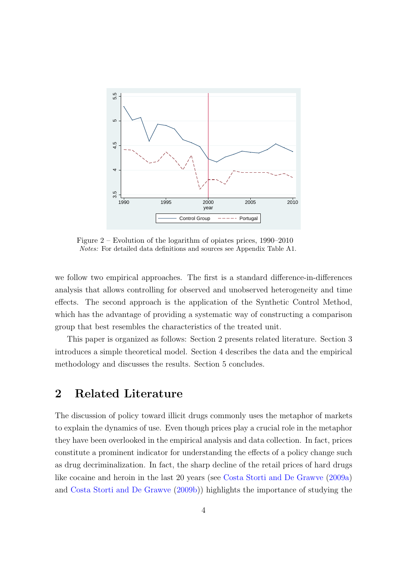<span id="page-6-0"></span>

Figure 2 – Evolution of the logarithm of opiates prices, 1990–2010 Notes: For detailed data definitions and sources see Appendix Table A1.

we follow two empirical approaches. The first is a standard difference-in-differences analysis that allows controlling for observed and unobserved heterogeneity and time effects. The second approach is the application of the Synthetic Control Method, which has the advantage of providing a systematic way of constructing a comparison group that best resembles the characteristics of the treated unit.

This paper is organized as follows: Section 2 presents related literature. Section 3 introduces a simple theoretical model. Section 4 describes the data and the empirical methodology and discusses the results. Section 5 concludes.

# 2 Related Literature

The discussion of policy toward illicit drugs commonly uses the metaphor of markets to explain the dynamics of use. Even though prices play a crucial role in the metaphor they have been overlooked in the empirical analysis and data collection. In fact, prices constitute a prominent indicator for understanding the effects of a policy change such as drug decriminalization. In fact, the sharp decline of the retail prices of hard drugs like cocaine and heroin in the last 20 years (see [Costa Storti and De Grawve](#page-24-3) [\(2009a\)](#page-24-3) and [Costa Storti and De Grawve](#page-24-4) [\(2009b\)](#page-24-4)) highlights the importance of studying the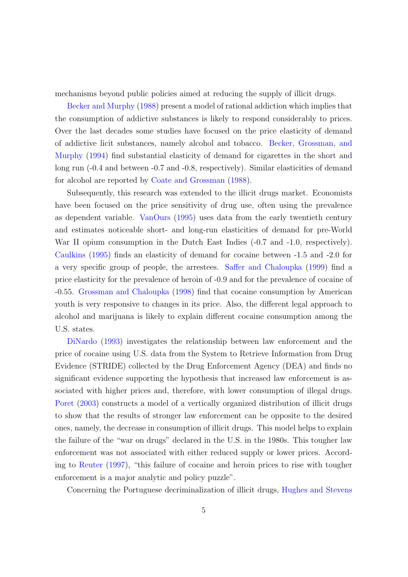mechanisms beyond public policies aimed at reducing the supply of illicit drugs.

[Becker and Murphy](#page-24-5) [\(1988\)](#page-24-5) present a model of rational addiction which implies that the consumption of addictive substances is likely to respond considerably to prices. Over the last decades some studies have focused on the price elasticity of demand of addictive licit substances, namely alcohol and tobacco. [Becker, Grossman, and](#page-24-6) [Murphy](#page-24-6) [\(1994\)](#page-24-6) find substantial elasticity of demand for cigarettes in the short and long run  $(-0.4$  and between  $-0.7$  and  $-0.8$ , respectively). Similar elasticities of demand for alcohol are reported by [Coate and Grossman](#page-24-7) [\(1988\)](#page-24-7).

Subsequently, this research was extended to the illicit drugs market. Economists have been focused on the price sensitivity of drug use, often using the prevalence as dependent variable. [VanOurs](#page-25-2) [\(1995\)](#page-25-2) uses data from the early twentieth century and estimates noticeable short- and long-run elasticities of demand for pre-World War II opium consumption in the Dutch East Indies  $(-0.7 \text{ and } -1.0, \text{ respectively}).$ [Caulkins](#page-24-8) [\(1995\)](#page-24-8) finds an elasticity of demand for cocaine between -1.5 and -2.0 for a very specific group of people, the arrestees. [Saffer and Chaloupka](#page-25-3) [\(1999\)](#page-25-3) find a price elasticity for the prevalence of heroin of -0.9 and for the prevalence of cocaine of -0.55. [Grossman and Chaloupka](#page-25-4) [\(1998\)](#page-25-4) find that cocaine consumption by American youth is very responsive to changes in its price. Also, the different legal approach to alcohol and marijuana is likely to explain different cocaine consumption among the U.S. states.

[DiNardo](#page-24-9) [\(1993\)](#page-24-9) investigates the relationship between law enforcement and the price of cocaine using U.S. data from the System to Retrieve Information from Drug Evidence (STRIDE) collected by the Drug Enforcement Agency (DEA) and finds no significant evidence supporting the hypothesis that increased law enforcement is associated with higher prices and, therefore, with lower consumption of illegal drugs. [Poret](#page-25-5) [\(2003\)](#page-25-5) constructs a model of a vertically organized distribution of illicit drugs to show that the results of stronger law enforcement can be opposite to the desired ones, namely, the decrease in consumption of illicit drugs. This model helps to explain the failure of the "war on drugs" declared in the U.S. in the 1980s. This tougher law enforcement was not associated with either reduced supply or lower prices. According to [Reuter](#page-25-6) [\(1997\)](#page-25-6), "this failure of cocaine and heroin prices to rise with tougher enforcement is a major analytic and policy puzzle".

Concerning the Portuguese decriminalization of illicit drugs, [Hughes and Stevens](#page-25-7)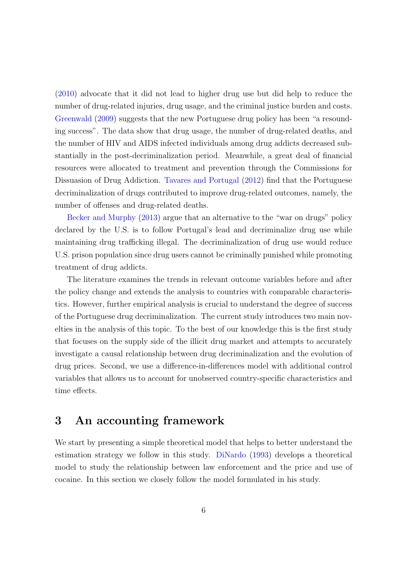[\(2010\)](#page-25-7) advocate that it did not lead to higher drug use but did help to reduce the number of drug-related injuries, drug usage, and the criminal justice burden and costs. [Greenwald](#page-25-8) [\(2009\)](#page-25-8) suggests that the new Portuguese drug policy has been "a resounding success". The data show that drug usage, the number of drug-related deaths, and the number of HIV and AIDS infected individuals among drug addicts decreased substantially in the post-decriminalization period. Meanwhile, a great deal of financial resources were allocated to treatment and prevention through the Commissions for Dissuasion of Drug Addiction. [Tavares and Portugal](#page-25-9) [\(2012\)](#page-25-9) find that the Portuguese decriminalization of drugs contributed to improve drug-related outcomes, namely, the number of offenses and drug-related deaths.

[Becker and Murphy](#page-24-10) [\(2013\)](#page-24-10) argue that an alternative to the "war on drugs" policy declared by the U.S. is to follow Portugal's lead and decriminalize drug use while maintaining drug trafficking illegal. The decriminalization of drug use would reduce U.S. prison population since drug users cannot be criminally punished while promoting treatment of drug addicts.

The literature examines the trends in relevant outcome variables before and after the policy change and extends the analysis to countries with comparable characteristics. However, further empirical analysis is crucial to understand the degree of success of the Portuguese drug decriminalization. The current study introduces two main novelties in the analysis of this topic. To the best of our knowledge this is the first study that focuses on the supply side of the illicit drug market and attempts to accurately investigate a causal relationship between drug decriminalization and the evolution of drug prices. Second, we use a difference-in-differences model with additional control variables that allows us to account for unobserved country-specific characteristics and time effects.

### 3 An accounting framework

We start by presenting a simple theoretical model that helps to better understand the estimation strategy we follow in this study. [DiNardo](#page-24-9) [\(1993\)](#page-24-9) develops a theoretical model to study the relationship between law enforcement and the price and use of cocaine. In this section we closely follow the model formulated in his study.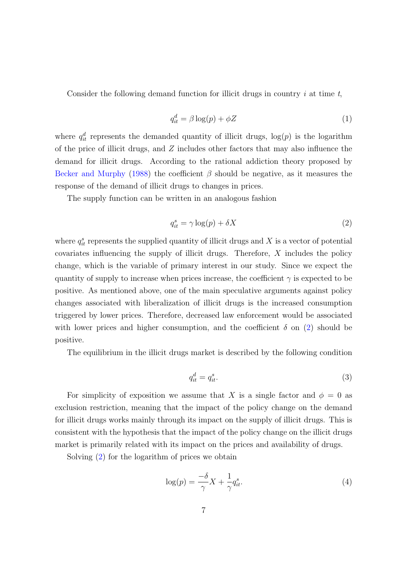Consider the following demand function for illicit drugs in country  $i$  at time  $t$ ,

<span id="page-9-2"></span>
$$
q_{it}^d = \beta \log(p) + \phi Z \tag{1}
$$

where  $q_{it}^{d}$  represents the demanded quantity of illicit drugs,  $log(p)$  is the logarithm of the price of illicit drugs, and Z includes other factors that may also influence the demand for illicit drugs. According to the rational addiction theory proposed by [Becker and Murphy](#page-24-5) [\(1988\)](#page-24-5) the coefficient  $\beta$  should be negative, as it measures the response of the demand of illicit drugs to changes in prices.

The supply function can be written in an analogous fashion

<span id="page-9-0"></span>
$$
q_{it}^s = \gamma \log(p) + \delta X \tag{2}
$$

where  $q_{it}^s$  represents the supplied quantity of illicit drugs and X is a vector of potential covariates influencing the supply of illicit drugs. Therefore, X includes the policy change, which is the variable of primary interest in our study. Since we expect the quantity of supply to increase when prices increase, the coefficient  $\gamma$  is expected to be positive. As mentioned above, one of the main speculative arguments against policy changes associated with liberalization of illicit drugs is the increased consumption triggered by lower prices. Therefore, decreased law enforcement would be associated with lower prices and higher consumption, and the coefficient  $\delta$  on [\(2\)](#page-9-0) should be positive.

The equilibrium in the illicit drugs market is described by the following condition

<span id="page-9-3"></span>
$$
q_{it}^d = q_{it}^s. \tag{3}
$$

For simplicity of exposition we assume that X is a single factor and  $\phi = 0$  as exclusion restriction, meaning that the impact of the policy change on the demand for illicit drugs works mainly through its impact on the supply of illicit drugs. This is consistent with the hypothesis that the impact of the policy change on the illicit drugs market is primarily related with its impact on the prices and availability of drugs.

Solving [\(2\)](#page-9-0) for the logarithm of prices we obtain

<span id="page-9-1"></span>
$$
\log(p) = \frac{-\delta}{\gamma} X + \frac{1}{\gamma} q_{it}^s. \tag{4}
$$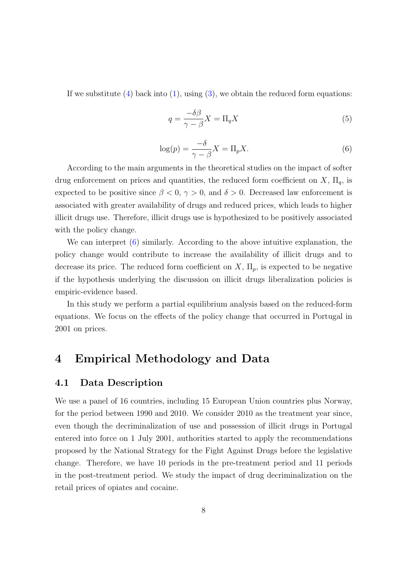If we substitute  $(4)$  back into  $(1)$ , using  $(3)$ , we obtain the reduced form equations:

$$
q = \frac{-\delta\beta}{\gamma - \beta}X = \Pi_q X\tag{5}
$$

<span id="page-10-0"></span>
$$
\log(p) = \frac{-\delta}{\gamma - \beta} X = \Pi_p X. \tag{6}
$$

According to the main arguments in the theoretical studies on the impact of softer drug enforcement on prices and quantities, the reduced form coefficient on  $X$ ,  $\Pi_q$ , is expected to be positive since  $\beta < 0$ ,  $\gamma > 0$ , and  $\delta > 0$ . Decreased law enforcement is associated with greater availability of drugs and reduced prices, which leads to higher illicit drugs use. Therefore, illicit drugs use is hypothesized to be positively associated with the policy change.

We can interpret  $(6)$  similarly. According to the above intuitive explanation, the policy change would contribute to increase the availability of illicit drugs and to decrease its price. The reduced form coefficient on  $X$ ,  $\Pi_p$ , is expected to be negative if the hypothesis underlying the discussion on illicit drugs liberalization policies is empiric-evidence based.

In this study we perform a partial equilibrium analysis based on the reduced-form equations. We focus on the effects of the policy change that occurred in Portugal in 2001 on prices.

# 4 Empirical Methodology and Data

#### 4.1 Data Description

We use a panel of 16 countries, including 15 European Union countries plus Norway, for the period between 1990 and 2010. We consider 2010 as the treatment year since, even though the decriminalization of use and possession of illicit drugs in Portugal entered into force on 1 July 2001, authorities started to apply the recommendations proposed by the National Strategy for the Fight Against Drugs before the legislative change. Therefore, we have 10 periods in the pre-treatment period and 11 periods in the post-treatment period. We study the impact of drug decriminalization on the retail prices of opiates and cocaine.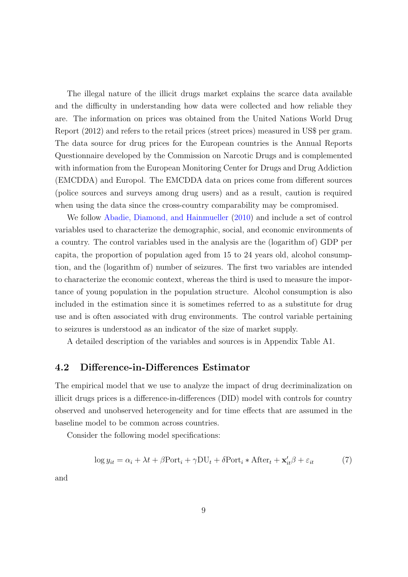The illegal nature of the illicit drugs market explains the scarce data available and the difficulty in understanding how data were collected and how reliable they are. The information on prices was obtained from the United Nations World Drug Report (2012) and refers to the retail prices (street prices) measured in US\$ per gram. The data source for drug prices for the European countries is the Annual Reports Questionnaire developed by the Commission on Narcotic Drugs and is complemented with information from the European Monitoring Center for Drugs and Drug Addiction (EMCDDA) and Europol. The EMCDDA data on prices come from different sources (police sources and surveys among drug users) and as a result, caution is required when using the data since the cross-country comparability may be compromised.

We follow [Abadie, Diamond, and Hainmueller](#page-24-11) [\(2010\)](#page-24-11) and include a set of control variables used to characterize the demographic, social, and economic environments of a country. The control variables used in the analysis are the (logarithm of) GDP per capita, the proportion of population aged from 15 to 24 years old, alcohol consumption, and the (logarithm of) number of seizures. The first two variables are intended to characterize the economic context, whereas the third is used to measure the importance of young population in the population structure. Alcohol consumption is also included in the estimation since it is sometimes referred to as a substitute for drug use and is often associated with drug environments. The control variable pertaining to seizures is understood as an indicator of the size of market supply.

A detailed description of the variables and sources is in Appendix Table A1.

#### 4.2 Difference-in-Differences Estimator

The empirical model that we use to analyze the impact of drug decriminalization on illicit drugs prices is a difference-in-differences (DID) model with controls for country observed and unobserved heterogeneity and for time effects that are assumed in the baseline model to be common across countries.

Consider the following model specifications:

<span id="page-11-0"></span>
$$
\log y_{it} = \alpha_i + \lambda t + \beta \text{Port}_i + \gamma \text{DU}_t + \delta \text{Port}_i * \text{After}_t + \mathbf{x}'_{it} \beta + \varepsilon_{it} \tag{7}
$$

and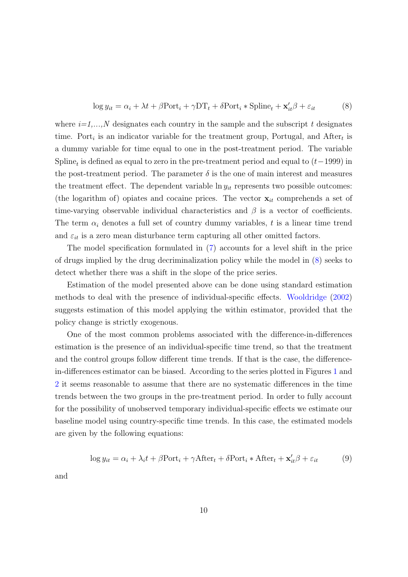<span id="page-12-0"></span>
$$
\log y_{it} = \alpha_i + \lambda t + \beta \text{Port}_i + \gamma \text{DT}_t + \delta \text{Port}_i * \text{Splite}_t + \mathbf{x}'_{it} \beta + \varepsilon_{it}
$$
(8)

where  $i=1,\ldots,N$  designates each country in the sample and the subscript t designates time. Port<sub>i</sub> is an indicator variable for the treatment group, Portugal, and After<sub>t</sub> is a dummy variable for time equal to one in the post-treatment period. The variable Spline<sub>t</sub> is defined as equal to zero in the pre-treatment period and equal to  $(t-1999)$  in the post-treatment period. The parameter  $\delta$  is the one of main interest and measures the treatment effect. The dependent variable  $\ln y_{it}$  represents two possible outcomes: (the logarithm of) opiates and cocaine prices. The vector  $\mathbf{x}_{it}$  comprehends a set of time-varying observable individual characteristics and  $\beta$  is a vector of coefficients. The term  $\alpha_i$  denotes a full set of country dummy variables, t is a linear time trend and  $\varepsilon_{it}$  is a zero mean disturbance term capturing all other omitted factors.

The model specification formulated in [\(7\)](#page-11-0) accounts for a level shift in the price of drugs implied by the drug decriminalization policy while the model in [\(8\)](#page-12-0) seeks to detect whether there was a shift in the slope of the price series.

Estimation of the model presented above can be done using standard estimation methods to deal with the presence of individual-specific effects. [Wooldridge](#page-25-10) [\(2002\)](#page-25-10) suggests estimation of this model applying the within estimator, provided that the policy change is strictly exogenous.

One of the most common problems associated with the difference-in-differences estimation is the presence of an individual-specific time trend, so that the treatment and the control groups follow different time trends. If that is the case, the differencein-differences estimator can be biased. According to the series plotted in Figures [1](#page-5-0) and [2](#page-6-0) it seems reasonable to assume that there are no systematic differences in the time trends between the two groups in the pre-treatment period. In order to fully account for the possibility of unobserved temporary individual-specific effects we estimate our baseline model using country-specific time trends. In this case, the estimated models are given by the following equations:

$$
\log y_{it} = \alpha_i + \lambda_i t + \beta \text{Port}_i + \gamma \text{After}_t + \delta \text{Port}_i * \text{After}_t + \mathbf{x}'_{it} \beta + \varepsilon_{it} \tag{9}
$$

and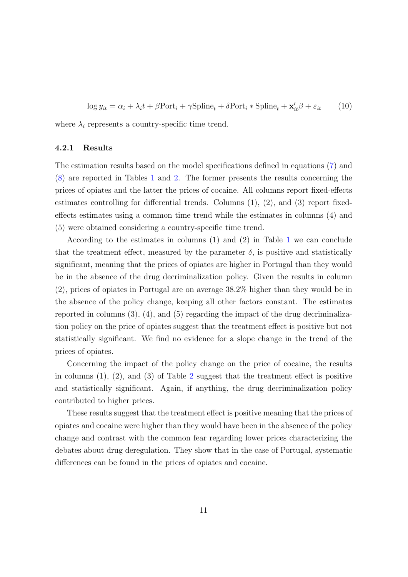$$
\log y_{it} = \alpha_i + \lambda_i t + \beta \text{Port}_i + \gamma \text{Splite}_t + \delta \text{Port}_i * \text{Splite}_t + \mathbf{x}'_{it} \beta + \varepsilon_{it} \tag{10}
$$

where  $\lambda_i$  represents a country-specific time trend.

#### 4.2.1 Results

The estimation results based on the model specifications defined in equations [\(7\)](#page-11-0) and [\(8\)](#page-12-0) are reported in Tables [1](#page-14-0) and [2.](#page-15-0) The former presents the results concerning the prices of opiates and the latter the prices of cocaine. All columns report fixed-effects estimates controlling for differential trends. Columns  $(1), (2),$  and  $(3)$  report fixedeffects estimates using a common time trend while the estimates in columns (4) and (5) were obtained considering a country-specific time trend.

According to the estimates in columns (1) and (2) in Table [1](#page-14-0) we can conclude that the treatment effect, measured by the parameter  $\delta$ , is positive and statistically significant, meaning that the prices of opiates are higher in Portugal than they would be in the absence of the drug decriminalization policy. Given the results in column (2), prices of opiates in Portugal are on average 38.2% higher than they would be in the absence of the policy change, keeping all other factors constant. The estimates reported in columns (3), (4), and (5) regarding the impact of the drug decriminalization policy on the price of opiates suggest that the treatment effect is positive but not statistically significant. We find no evidence for a slope change in the trend of the prices of opiates.

Concerning the impact of the policy change on the price of cocaine, the results in columns  $(1), (2),$  $(1), (2),$  $(1), (2),$  and  $(3)$  of Table 2 suggest that the treatment effect is positive and statistically significant. Again, if anything, the drug decriminalization policy contributed to higher prices.

These results suggest that the treatment effect is positive meaning that the prices of opiates and cocaine were higher than they would have been in the absence of the policy change and contrast with the common fear regarding lower prices characterizing the debates about drug deregulation. They show that in the case of Portugal, systematic differences can be found in the prices of opiates and cocaine.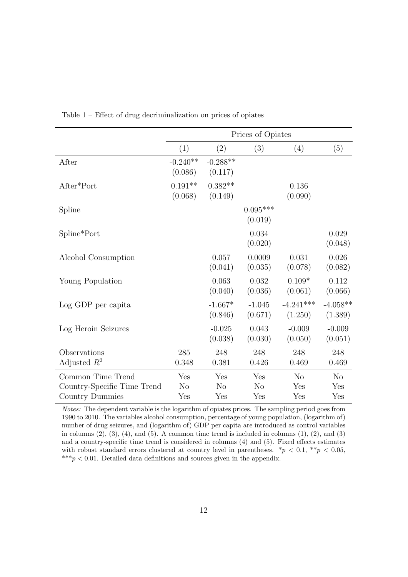|                             | Prices of Opiates     |                       |                       |                        |                       |
|-----------------------------|-----------------------|-----------------------|-----------------------|------------------------|-----------------------|
|                             | (1)                   | (2)                   | (3)                   | (4)                    | (5)                   |
| After                       | $-0.240**$<br>(0.086) | $-0.288**$<br>(0.117) |                       |                        |                       |
| After*Port                  | $0.191**$<br>(0.068)  | $0.382**$<br>(0.149)  |                       | 0.136<br>(0.090)       |                       |
| Spline                      |                       |                       | $0.095***$<br>(0.019) |                        |                       |
| Spline*Port                 |                       |                       | 0.034<br>(0.020)      |                        | 0.029<br>(0.048)      |
| Alcohol Consumption         |                       | 0.057<br>(0.041)      | 0.0009<br>(0.035)     | 0.031<br>(0.078)       | 0.026<br>(0.082)      |
| Young Population            |                       | 0.063<br>(0.040)      | 0.032<br>(0.036)      | $0.109*$<br>(0.061)    | 0.112<br>(0.066)      |
| Log GDP per capita          |                       | $-1.667*$<br>(0.846)  | $-1.045$<br>(0.671)   | $-4.241***$<br>(1.250) | $-4.058**$<br>(1.389) |
| Log Heroin Seizures         |                       | $-0.025$<br>(0.038)   | 0.043<br>(0.030)      | $-0.009$<br>(0.050)    | $-0.009$<br>(0.051)   |
| Observations                | 285                   | 248                   | 248                   | 248                    | 248                   |
| Adjusted $R^2$              | 0.348                 | 0.381                 | 0.426                 | 0.469                  | 0.469                 |
| Common Time Trend           | Yes                   | Yes                   | Yes                   | N <sub>o</sub>         | N <sub>o</sub>        |
| Country-Specific Time Trend | N <sub>o</sub>        | N <sub>o</sub>        | N <sub>o</sub>        | Yes                    | Yes                   |
| Country Dummies             | Yes                   | Yes                   | Yes                   | Yes                    | Yes                   |

<span id="page-14-0"></span>Table 1 – Effect of drug decriminalization on prices of opiates

Notes: The dependent variable is the logarithm of opiates prices. The sampling period goes from 1990 to 2010. The variables alcohol consumption, percentage of young population, (logarithm of) number of drug seizures, and (logarithm of) GDP per capita are introduced as control variables in columns  $(2)$ ,  $(3)$ ,  $(4)$ , and  $(5)$ . A common time trend is included in columns  $(1)$ ,  $(2)$ , and  $(3)$ and a country-specific time trend is considered in columns (4) and (5). Fixed effects estimates with robust standard errors clustered at country level in parentheses.  $*p < 0.1, **p < 0.05$ , \*\*\* $p < 0.01$ . Detailed data definitions and sources given in the appendix.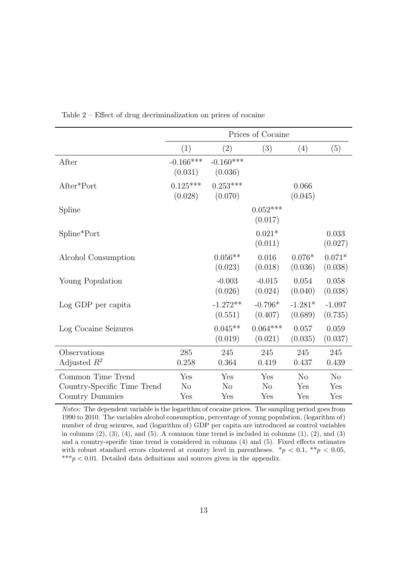|                             | Prices of Cocaine      |                        |                       |                      |                     |
|-----------------------------|------------------------|------------------------|-----------------------|----------------------|---------------------|
|                             | (1)                    | (2)                    | (3)                   | (4)                  | (5)                 |
| After                       | $-0.166***$<br>(0.031) | $-0.160***$<br>(0.036) |                       |                      |                     |
| After*Port                  | $0.125***$<br>(0.028)  | $0.253***$<br>(0.070)  |                       | 0.066<br>(0.045)     |                     |
| Spline                      |                        |                        | $0.052***$<br>(0.017) |                      |                     |
| Spline*Port                 |                        |                        | $0.021*$<br>(0.011)   |                      | 0.033<br>(0.027)    |
| Alcohol Consumption         |                        | $0.056**$<br>(0.023)   | $0.016\,$<br>(0.018)  | $0.076*$<br>(0.036)  | $0.071*$<br>(0.038) |
| Young Population            |                        | $-0.003$<br>(0.026)    | $-0.015$<br>(0.024)   | 0.054<br>(0.040)     | 0.058<br>(0.038)    |
| Log GDP per capita          |                        | $-1.272**$<br>(0.551)  | $-0.796*$<br>(0.407)  | $-1.281*$<br>(0.689) | $-1.097$<br>(0.735) |
| Log Cocaine Seizures        |                        | $0.045**$<br>(0.019)   | $0.064***$<br>(0.021) | 0.057<br>(0.035)     | 0.059<br>(0.037)    |
| Observations                | 285                    | 245                    | 245                   | 245                  | 245                 |
| Adjusted $R^2$              | 0.258                  | 0.364                  | 0.419                 | 0.437                | 0.439               |
| Common Time Trend           | Yes                    | Yes                    | Yes                   | N <sub>o</sub>       | N <sub>o</sub>      |
| Country-Specific Time Trend | N <sub>o</sub>         | N <sub>o</sub>         | N <sub>o</sub>        | Yes                  | Yes                 |
| Country Dummies             | Yes                    | Yes                    | Yes                   | Yes                  | Yes                 |

<span id="page-15-0"></span>Table 2 – Effect of drug decriminalization on prices of cocaine

Notes: The dependent variable is the logarithm of cocaine prices. The sampling period goes from 1990 to 2010. The variables alcohol consumption, percentage of young population, (logarithm of) number of drug seizures, and (logarithm of) GDP per capita are introduced as control variables in columns  $(2)$ ,  $(3)$ ,  $(4)$ , and  $(5)$ . A common time trend is included in columns  $(1)$ ,  $(2)$ , and  $(3)$ and a country-specific time trend is considered in columns (4) and (5). Fixed effects estimates with robust standard errors clustered at country level in parentheses.  $*p < 0.1$ ,  $**p < 0.05$ , \*\*\* $p < 0.01$ . Detailed data definitions and sources given in the appendix.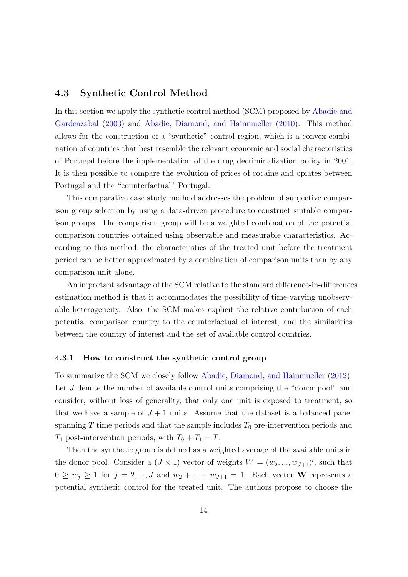#### 4.3 Synthetic Control Method

In this section we apply the synthetic control method (SCM) proposed by [Abadie and](#page-24-12) [Gardeazabal](#page-24-12) [\(2003\)](#page-24-12) and [Abadie, Diamond, and Hainmueller](#page-24-11) [\(2010\)](#page-24-11). This method allows for the construction of a "synthetic" control region, which is a convex combination of countries that best resemble the relevant economic and social characteristics of Portugal before the implementation of the drug decriminalization policy in 2001. It is then possible to compare the evolution of prices of cocaine and opiates between Portugal and the "counterfactual" Portugal.

This comparative case study method addresses the problem of subjective comparison group selection by using a data-driven procedure to construct suitable comparison groups. The comparison group will be a weighted combination of the potential comparison countries obtained using observable and measurable characteristics. According to this method, the characteristics of the treated unit before the treatment period can be better approximated by a combination of comparison units than by any comparison unit alone.

An important advantage of the SCM relative to the standard difference-in-differences estimation method is that it accommodates the possibility of time-varying unobservable heterogeneity. Also, the SCM makes explicit the relative contribution of each potential comparison country to the counterfactual of interest, and the similarities between the country of interest and the set of available control countries.

#### 4.3.1 How to construct the synthetic control group

To summarize the SCM we closely follow [Abadie, Diamond, and Hainmueller](#page-24-13) [\(2012\)](#page-24-13). Let J denote the number of available control units comprising the "donor pool" and consider, without loss of generality, that only one unit is exposed to treatment, so that we have a sample of  $J+1$  units. Assume that the dataset is a balanced panel spanning  $T$  time periods and that the sample includes  $T_0$  pre-intervention periods and  $T_1$  post-intervention periods, with  $T_0 + T_1 = T$ .

Then the synthetic group is defined as a weighted average of the available units in the donor pool. Consider a  $(J \times 1)$  vector of weights  $W = (w_2, ..., w_{J+1})'$ , such that  $0 \geq w_j \geq 1$  for  $j = 2, ..., J$  and  $w_2 + ... + w_{J+1} = 1$ . Each vector **W** represents a potential synthetic control for the treated unit. The authors propose to choose the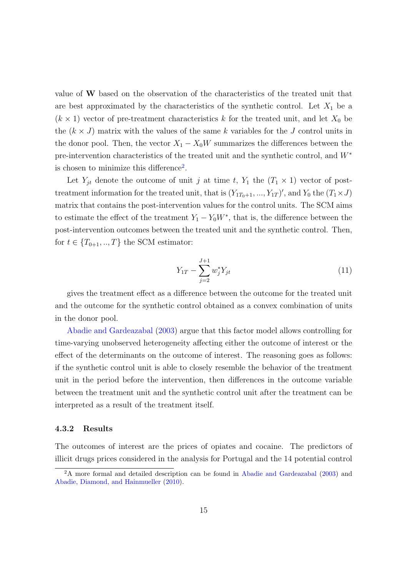value of W based on the observation of the characteristics of the treated unit that are best approximated by the characteristics of the synthetic control. Let  $X_1$  be a  $(k \times 1)$  vector of pre-treatment characteristics k for the treated unit, and let  $X_0$  be the  $(k \times J)$  matrix with the values of the same k variables for the J control units in the donor pool. Then, the vector  $X_1 - X_0W$  summarizes the differences between the pre-intervention characteristics of the treated unit and the synthetic control, and W<sup>∗</sup> is chosen to minimize this difference<sup>[2](#page-17-0)</sup>.

Let  $Y_{jt}$  denote the outcome of unit j at time t,  $Y_1$  the  $(T_1 \times 1)$  vector of posttreatment information for the treated unit, that is  $(Y_{1T_0+1},..., Y_{1T})'$ , and  $Y_0$  the  $(T_1 \times J)$ matrix that contains the post-intervention values for the control units. The SCM aims to estimate the effect of the treatment  $Y_1 - Y_0W^*$ , that is, the difference between the post-intervention outcomes between the treated unit and the synthetic control. Then, for  $t \in \{T_{0+1},...,T\}$  the SCM estimator:

$$
Y_{1T} - \sum_{j=2}^{J+1} w_j^* Y_{jt} \tag{11}
$$

gives the treatment effect as a difference between the outcome for the treated unit and the outcome for the synthetic control obtained as a convex combination of units in the donor pool.

[Abadie and Gardeazabal](#page-24-12) [\(2003\)](#page-24-12) argue that this factor model allows controlling for time-varying unobserved heterogeneity affecting either the outcome of interest or the effect of the determinants on the outcome of interest. The reasoning goes as follows: if the synthetic control unit is able to closely resemble the behavior of the treatment unit in the period before the intervention, then differences in the outcome variable between the treatment unit and the synthetic control unit after the treatment can be interpreted as a result of the treatment itself.

#### 4.3.2 Results

The outcomes of interest are the prices of opiates and cocaine. The predictors of illicit drugs prices considered in the analysis for Portugal and the 14 potential control

<span id="page-17-0"></span><sup>2</sup>A more formal and detailed description can be found in [Abadie and Gardeazabal](#page-24-12) [\(2003\)](#page-24-12) and [Abadie, Diamond, and Hainmueller](#page-24-11) [\(2010\)](#page-24-11).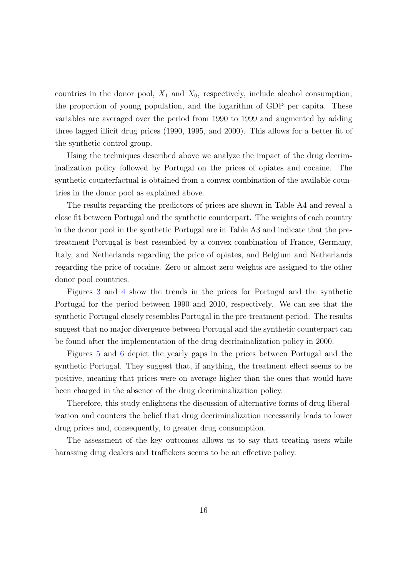countries in the donor pool,  $X_1$  and  $X_0$ , respectively, include alcohol consumption, the proportion of young population, and the logarithm of GDP per capita. These variables are averaged over the period from 1990 to 1999 and augmented by adding three lagged illicit drug prices (1990, 1995, and 2000). This allows for a better fit of the synthetic control group.

Using the techniques described above we analyze the impact of the drug decriminalization policy followed by Portugal on the prices of opiates and cocaine. The synthetic counterfactual is obtained from a convex combination of the available countries in the donor pool as explained above.

The results regarding the predictors of prices are shown in Table A4 and reveal a close fit between Portugal and the synthetic counterpart. The weights of each country in the donor pool in the synthetic Portugal are in Table A3 and indicate that the pretreatment Portugal is best resembled by a convex combination of France, Germany, Italy, and Netherlands regarding the price of opiates, and Belgium and Netherlands regarding the price of cocaine. Zero or almost zero weights are assigned to the other donor pool countries.

Figures [3](#page-19-0) and [4](#page-19-1) show the trends in the prices for Portugal and the synthetic Portugal for the period between 1990 and 2010, respectively. We can see that the synthetic Portugal closely resembles Portugal in the pre-treatment period. The results suggest that no major divergence between Portugal and the synthetic counterpart can be found after the implementation of the drug decriminalization policy in 2000.

Figures [5](#page-20-0) and [6](#page-20-1) depict the yearly gaps in the prices between Portugal and the synthetic Portugal. They suggest that, if anything, the treatment effect seems to be positive, meaning that prices were on average higher than the ones that would have been charged in the absence of the drug decriminalization policy.

Therefore, this study enlightens the discussion of alternative forms of drug liberalization and counters the belief that drug decriminalization necessarily leads to lower drug prices and, consequently, to greater drug consumption.

The assessment of the key outcomes allows us to say that treating users while harassing drug dealers and traffickers seems to be an effective policy.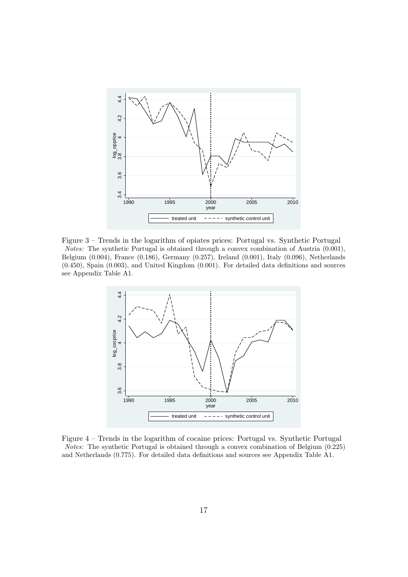<span id="page-19-0"></span>

<span id="page-19-1"></span>Figure 3 – Trends in the logarithm of opiates prices: Portugal vs. Synthetic Portugal Notes: The synthetic Portugal is obtained through a convex combination of Austria (0.001), Belgium (0.004), France (0.186), Germany (0.257), Ireland (0.001), Italy (0.096), Netherlands (0.450), Spain (0.003), and United Kingdom (0.001). For detailed data definitions and sources see Appendix Table A1.



Figure 4 – Trends in the logarithm of cocaine prices: Portugal vs. Synthetic Portugal Notes: The synthetic Portugal is obtained through a convex combination of Belgium (0.225) and Netherlands (0.775). For detailed data definitions and sources see Appendix Table A1.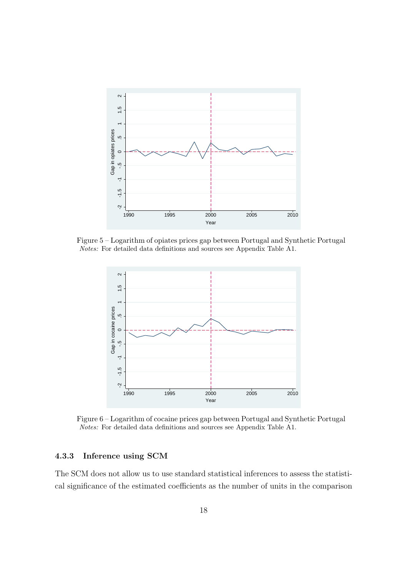<span id="page-20-0"></span>

<span id="page-20-1"></span>Figure 5 – Logarithm of opiates prices gap between Portugal and Synthetic Portugal Notes: For detailed data definitions and sources see Appendix Table A1.



Figure 6 – Logarithm of cocaine prices gap between Portugal and Synthetic Portugal Notes: For detailed data definitions and sources see Appendix Table A1.

#### 4.3.3 Inference using SCM

The SCM does not allow us to use standard statistical inferences to assess the statistical significance of the estimated coefficients as the number of units in the comparison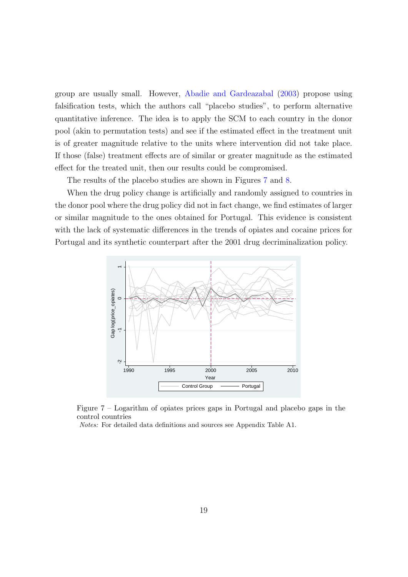group are usually small. However, [Abadie and Gardeazabal](#page-24-12) [\(2003\)](#page-24-12) propose using falsification tests, which the authors call "placebo studies", to perform alternative quantitative inference. The idea is to apply the SCM to each country in the donor pool (akin to permutation tests) and see if the estimated effect in the treatment unit is of greater magnitude relative to the units where intervention did not take place. If those (false) treatment effects are of similar or greater magnitude as the estimated effect for the treated unit, then our results could be compromised.

The results of the placebo studies are shown in Figures [7](#page-21-0) and [8.](#page-22-0)

When the drug policy change is artificially and randomly assigned to countries in the donor pool where the drug policy did not in fact change, we find estimates of larger or similar magnitude to the ones obtained for Portugal. This evidence is consistent with the lack of systematic differences in the trends of opiates and cocaine prices for Portugal and its synthetic counterpart after the 2001 drug decriminalization policy.

<span id="page-21-0"></span>

Figure 7 – Logarithm of opiates prices gaps in Portugal and placebo gaps in the control countries

Notes: For detailed data definitions and sources see Appendix Table A1.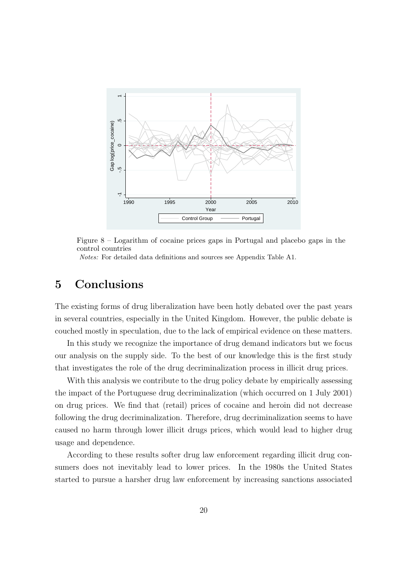<span id="page-22-0"></span>

Figure 8 – Logarithm of cocaine prices gaps in Portugal and placebo gaps in the control countries Notes: For detailed data definitions and sources see Appendix Table A1.

# 5 Conclusions

The existing forms of drug liberalization have been hotly debated over the past years in several countries, especially in the United Kingdom. However, the public debate is couched mostly in speculation, due to the lack of empirical evidence on these matters.

In this study we recognize the importance of drug demand indicators but we focus our analysis on the supply side. To the best of our knowledge this is the first study that investigates the role of the drug decriminalization process in illicit drug prices.

With this analysis we contribute to the drug policy debate by empirically assessing the impact of the Portuguese drug decriminalization (which occurred on 1 July 2001) on drug prices. We find that (retail) prices of cocaine and heroin did not decrease following the drug decriminalization. Therefore, drug decriminalization seems to have caused no harm through lower illicit drugs prices, which would lead to higher drug usage and dependence.

According to these results softer drug law enforcement regarding illicit drug consumers does not inevitably lead to lower prices. In the 1980s the United States started to pursue a harsher drug law enforcement by increasing sanctions associated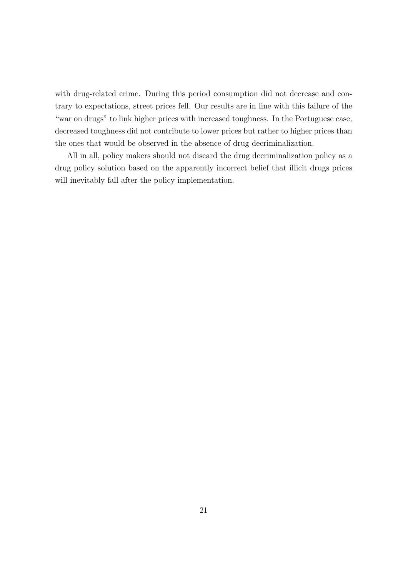with drug-related crime. During this period consumption did not decrease and contrary to expectations, street prices fell. Our results are in line with this failure of the "war on drugs" to link higher prices with increased toughness. In the Portuguese case, decreased toughness did not contribute to lower prices but rather to higher prices than the ones that would be observed in the absence of drug decriminalization.

All in all, policy makers should not discard the drug decriminalization policy as a drug policy solution based on the apparently incorrect belief that illicit drugs prices will inevitably fall after the policy implementation.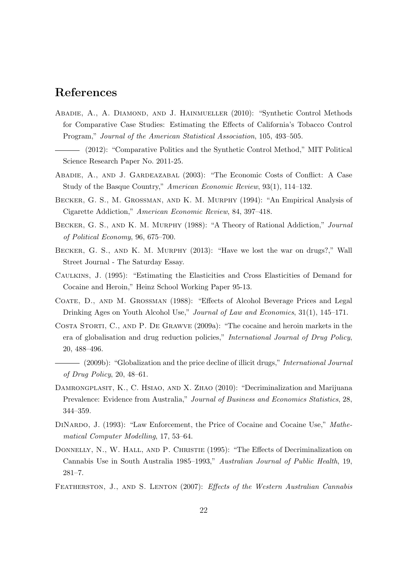# References

- <span id="page-24-11"></span>Abadie, A., A. Diamond, and J. Hainmueller (2010): "Synthetic Control Methods for Comparative Case Studies: Estimating the Effects of California's Tobacco Control Program," Journal of the American Statistical Association, 105, 493–505.
- <span id="page-24-13"></span>(2012): "Comparative Politics and the Synthetic Control Method," MIT Political Science Research Paper No. 2011-25.
- <span id="page-24-12"></span>Abadie, A., and J. Gardeazabal (2003): "The Economic Costs of Conflict: A Case Study of the Basque Country," American Economic Review, 93(1), 114–132.
- <span id="page-24-6"></span>Becker, G. S., M. Grossman, and K. M. Murphy (1994): "An Empirical Analysis of Cigarette Addiction," American Economic Review, 84, 397–418.
- <span id="page-24-5"></span>Becker, G. S., and K. M. Murphy (1988): "A Theory of Rational Addiction," Journal of Political Economy, 96, 675–700.
- <span id="page-24-10"></span>Becker, G. S., and K. M. Murphy (2013): "Have we lost the war on drugs?," Wall Street Journal - The Saturday Essay.
- <span id="page-24-8"></span>Caulkins, J. (1995): "Estimating the Elasticities and Cross Elasticities of Demand for Cocaine and Heroin," Heinz School Working Paper 95-13.
- <span id="page-24-7"></span>Coate, D., and M. Grossman (1988): "Effects of Alcohol Beverage Prices and Legal Drinking Ages on Youth Alcohol Use," Journal of Law and Economics, 31(1), 145–171.
- <span id="page-24-3"></span>Costa Storti, C., and P. De Grawve (2009a): "The cocaine and heroin markets in the era of globalisation and drug reduction policies," International Journal of Drug Policy, 20, 488–496.
- <span id="page-24-4"></span>(2009b): "Globalization and the price decline of illicit drugs," International Journal of Drug Policy, 20, 48–61.
- <span id="page-24-0"></span>Damrongplasit, K., C. Hsiao, and X. Zhao (2010): "Decriminalization and Marijuana Prevalence: Evidence from Australia," Journal of Business and Economics Statistics, 28, 344–359.
- <span id="page-24-9"></span>DINARDO, J. (1993): "Law Enforcement, the Price of Cocaine and Cocaine Use," Mathematical Computer Modelling, 17, 53–64.
- <span id="page-24-2"></span>DONNELLY, N., W. HALL, AND P. CHRISTIE (1995): "The Effects of Decriminalization on Cannabis Use in South Australia 1985–1993," Australian Journal of Public Health, 19, 281–7.
- <span id="page-24-1"></span>FEATHERSTON, J., AND S. LENTON (2007): Effects of the Western Australian Cannabis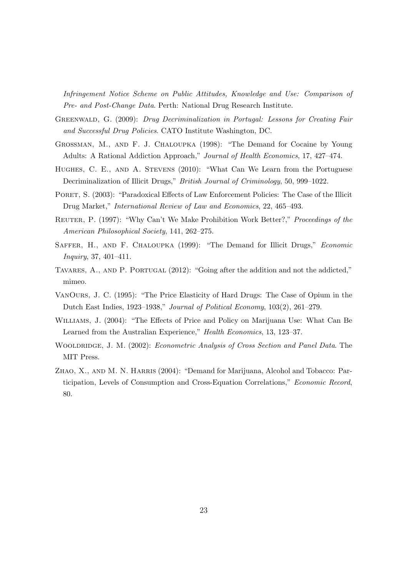Infringement Notice Scheme on Public Attitudes, Knowledge and Use: Comparison of Pre- and Post-Change Data. Perth: National Drug Research Institute.

- <span id="page-25-8"></span>Greenwald, G. (2009): Drug Decriminalization in Portugal: Lessons for Creating Fair and Successful Drug Policies. CATO Institute Washington, DC.
- <span id="page-25-4"></span>Grossman, M., and F. J. Chaloupka (1998): "The Demand for Cocaine by Young Adults: A Rational Addiction Approach," Journal of Health Economics, 17, 427–474.
- <span id="page-25-7"></span>HUGHES, C. E., AND A. STEVENS (2010): "What Can We Learn from the Portuguese Decriminalization of Illicit Drugs," British Journal of Criminology, 50, 999–1022.
- <span id="page-25-5"></span>PORET, S. (2003): "Paradoxical Effects of Law Enforcement Policies: The Case of the Illicit Drug Market," International Review of Law and Economics, 22, 465–493.
- <span id="page-25-6"></span>Reuter, P. (1997): "Why Can't We Make Prohibition Work Better?," Proceedings of the American Philosophical Society, 141, 262–275.
- <span id="page-25-3"></span>SAFFER, H., AND F. CHALOUPKA (1999): "The Demand for Illicit Drugs," Economic Inquiry, 37, 401–411.
- <span id="page-25-9"></span>Tavares, A., and P. Portugal (2012): "Going after the addition and not the addicted," mimeo.
- <span id="page-25-2"></span>VanOurs, J. C. (1995): "The Price Elasticity of Hard Drugs: The Case of Opium in the Dutch East Indies, 1923–1938," Journal of Political Economy, 103(2), 261–279.
- <span id="page-25-0"></span>Williams, J. (2004): "The Effects of Price and Policy on Marijuana Use: What Can Be Learned from the Australian Experience," Health Economics, 13, 123–37.
- <span id="page-25-10"></span>WOOLDRIDGE, J. M. (2002): Econometric Analysis of Cross Section and Panel Data. The MIT Press.
- <span id="page-25-1"></span>ZHAO, X., AND M. N. HARRIS (2004): "Demand for Marijuana, Alcohol and Tobacco: Participation, Levels of Consumption and Cross-Equation Correlations," Economic Record, 80.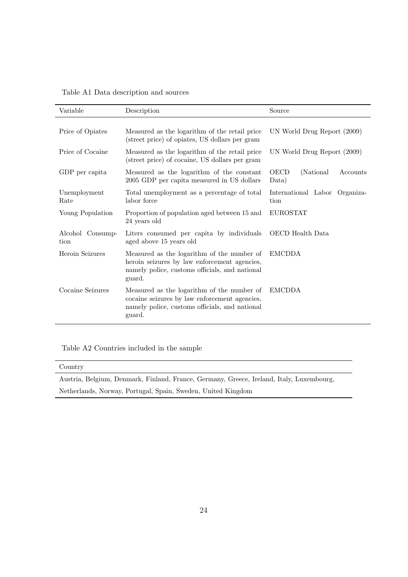Table A1 Data description and sources

| Variable                 | Description                                                                                                                                             | Source                                         |  |
|--------------------------|---------------------------------------------------------------------------------------------------------------------------------------------------------|------------------------------------------------|--|
| Price of Opiates         | Measured as the logarithm of the retail price<br>(street price) of opiates, US dollars per gram                                                         | UN World Drug Report (2009)                    |  |
| Price of Cocaine         | Measured as the logarithm of the retail price<br>(street price) of cocaine, US dollars per gram                                                         | UN World Drug Report (2009)                    |  |
| GDP per capita           | Measured as the logarithm of the constant<br>2005 GDP per capita measured in US dollars                                                                 | <b>OECD</b><br>(National)<br>Accounts<br>Data) |  |
| Unemployment<br>Rate     | Total unemployment as a percentage of total<br>labor force                                                                                              | International Labor<br>Organiza-<br>tion       |  |
| Young Population         | Proportion of population aged between 15 and<br>24 years old                                                                                            | <b>EUROSTAT</b>                                |  |
| Alcohol Consump-<br>tion | Liters consumed per capita by individuals<br>aged above 15 years old                                                                                    | OECD Health Data                               |  |
| Heroin Seizures          | Measured as the logarithm of the number of<br>heroin seizures by law enforcement agencies,<br>namely police, customs officials, and national<br>guard.  | <b>EMCDDA</b>                                  |  |
| Cocaine Seizures         | Measured as the logarithm of the number of<br>cocaine seizures by law enforcement agencies,<br>namely police, customs officials, and national<br>guard. | <b>EMCDDA</b>                                  |  |

Table A2 Countries included in the sample

| Country                                                                                  |
|------------------------------------------------------------------------------------------|
| Austria, Belgium, Denmark, Finland, France, Germany, Greece, Ireland, Italy, Luxembourg, |
| Netherlands, Norway, Portugal, Spain, Sweden, United Kingdom                             |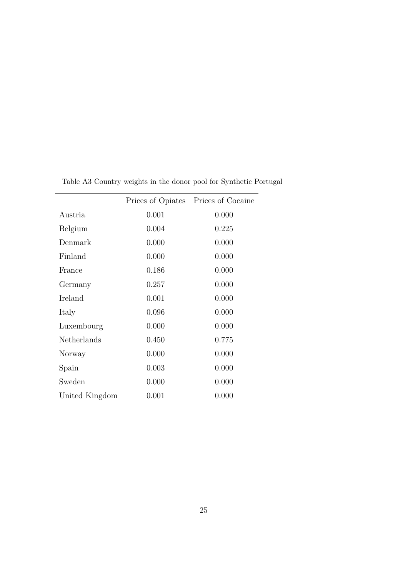|                |       | Prices of Opiates Prices of Cocaine |
|----------------|-------|-------------------------------------|
| Austria        | 0.001 | 0.000                               |
| Belgium        | 0.004 | 0.225                               |
| Denmark        | 0.000 | 0.000                               |
| Finland        | 0.000 | 0.000                               |
| France         | 0.186 | 0.000                               |
| Germany        | 0.257 | 0.000                               |
| Ireland        | 0.001 | 0.000                               |
| Italy          | 0.096 | 0.000                               |
| Luxembourg     | 0.000 | 0.000                               |
| Netherlands    | 0.450 | 0.775                               |
| Norway         | 0.000 | 0.000                               |
| Spain          | 0.003 | 0.000                               |
| Sweden         | 0.000 | 0.000                               |
| United Kingdom | 0.001 | 0.000                               |

Table A3 Country weights in the donor pool for Synthetic Portugal